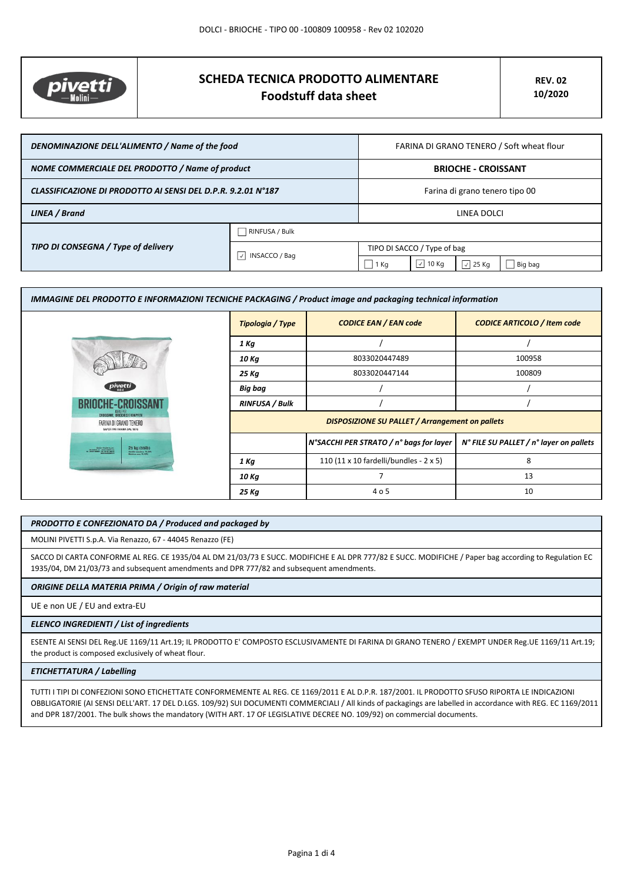

# **SCHEDA TECNICA PRODOTTO ALIMENTARE Foodstuff data sheet**

| DENOMINAZIONE DELL'ALIMENTO / Name of the food               |                           | FARINA DI GRANO TENERO / Soft wheat flour |                               |                  |         |
|--------------------------------------------------------------|---------------------------|-------------------------------------------|-------------------------------|------------------|---------|
| NOME COMMERCIALE DEL PRODOTTO / Name of product              |                           | <b>BRIOCHE - CROISSANT</b>                |                               |                  |         |
| CLASSIFICAZIONE DI PRODOTTO AI SENSI DEL D.P.R. 9.2.01 N°187 |                           | Farina di grano tenero tipo 00            |                               |                  |         |
| LINEA / Brand                                                |                           | LINEA DOLCI                               |                               |                  |         |
| TIPO DI CONSEGNA / Type of delivery                          | RINFUSA / Bulk            |                                           |                               |                  |         |
|                                                              | INSACCO / Bag<br>$ \vee $ | TIPO DI SACCO / Type of bag               |                               |                  |         |
|                                                              |                           | 1 Kg                                      | $\vert$ $\checkmark$<br>10 Kg | $\sqrt{2}$ 25 Kg | Big bag |

| IMMAGINE DEL PRODOTTO E INFORMAZIONI TECNICHE PACKAGING / Product image and packaging technical information |                       |                                                        |                                         |
|-------------------------------------------------------------------------------------------------------------|-----------------------|--------------------------------------------------------|-----------------------------------------|
|                                                                                                             | Tipologia / Type      | <b>CODICE EAN / EAN code</b>                           | <b>CODICE ARTICOLO / Item code</b>      |
|                                                                                                             | 1 Ka                  |                                                        |                                         |
|                                                                                                             | 10 Kg                 | 8033020447489                                          | 100958                                  |
|                                                                                                             | 25 Kg                 | 8033020447144                                          | 100809                                  |
| pivetti                                                                                                     | Big bag               |                                                        |                                         |
| BRIOLHE-CRO                                                                                                 | <b>RINFUSA / Bulk</b> |                                                        |                                         |
| CROISSANT, BRIDCHES E KRAPFEN<br>FARINA DI GRANO TENERO<br>SAPER FAR FARINA DAL 1875                        |                       | <b>DISPOSIZIONE SU PALLET / Arrangement on pallets</b> |                                         |
| 25 kg (55lb)<br>Nation Posts 2.p.A.<br>A send of the case of the Canada<br>A send them the case of the      |                       | N°SACCHI PER STRATO / n° bags for layer                | N° FILE SU PALLET / n° layer on pallets |
|                                                                                                             | 1 Kg                  | 110 (11 x 10 fardelli/bundles - 2 x 5)                 | 8                                       |
|                                                                                                             | 10 Kg                 |                                                        | 13                                      |
|                                                                                                             | 25 Kg                 | 4 o 5                                                  | 10                                      |

#### *PRODOTTO E CONFEZIONATO DA / Produced and packaged by*

MOLINI PIVETTI S.p.A. Via Renazzo, 67 - 44045 Renazzo (FE)

SACCO DI CARTA CONFORME AL REG. CE 1935/04 AL DM 21/03/73 E SUCC. MODIFICHE E AL DPR 777/82 E SUCC. MODIFICHE / Paper bag according to Regulation EC 1935/04, DM 21/03/73 and subsequent amendments and DPR 777/82 and subsequent amendments.

### *ORIGINE DELLA MATERIA PRIMA / Origin of raw material*

UE e non UE / EU and extra-EU

#### *ELENCO INGREDIENTI / List of ingredients*

ESENTE AI SENSI DEL Reg.UE 1169/11 Art.19; IL PRODOTTO E' COMPOSTO ESCLUSIVAMENTE DI FARINA DI GRANO TENERO / EXEMPT UNDER Reg.UE 1169/11 Art.19; the product is composed exclusively of wheat flour.

# *ETICHETTATURA / Labelling*

TUTTI I TIPI DI CONFEZIONI SONO ETICHETTATE CONFORMEMENTE AL REG. CE 1169/2011 E AL D.P.R. 187/2001. IL PRODOTTO SFUSO RIPORTA LE INDICAZIONI OBBLIGATORIE (AI SENSI DELL'ART. 17 DEL D.LGS. 109/92) SUI DOCUMENTI COMMERCIALI / All kinds of packagings are labelled in accordance with REG. EC 1169/2011 and DPR 187/2001. The bulk shows the mandatory (WITH ART. 17 OF LEGISLATIVE DECREE NO. 109/92) on commercial documents.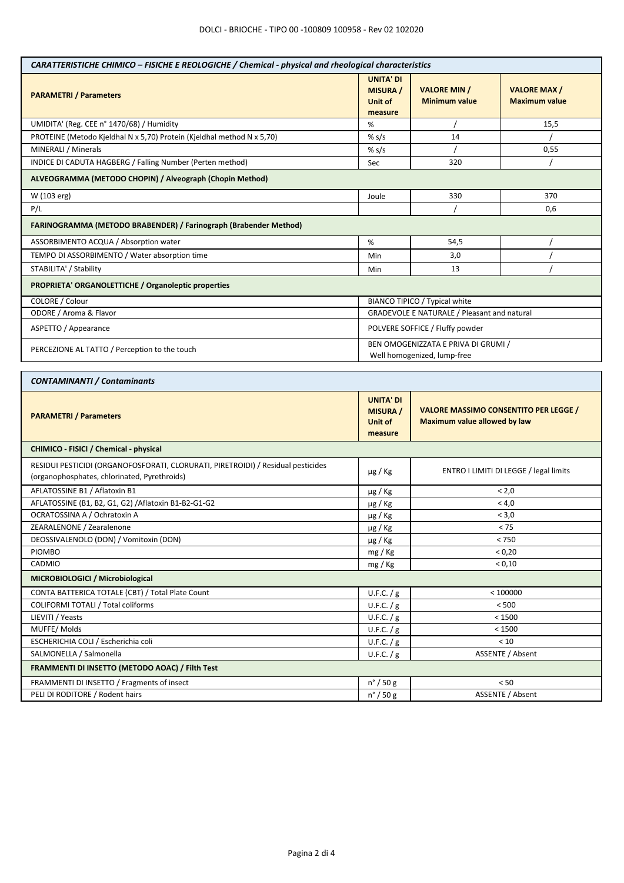| CARATTERISTICHE CHIMICO - FISICHE E REOLOGICHE / Chemical - physical and rheological characteristics                             |                                                           |                                                                                     |                                            |  |
|----------------------------------------------------------------------------------------------------------------------------------|-----------------------------------------------------------|-------------------------------------------------------------------------------------|--------------------------------------------|--|
| <b>PARAMETRI / Parameters</b>                                                                                                    | <b>UNITA' DI</b><br><b>MISURA</b> /<br>Unit of<br>measure | <b>VALORE MIN /</b><br><b>Minimum value</b>                                         | <b>VALORE MAX/</b><br><b>Maximum value</b> |  |
| UMIDITA' (Reg. CEE n° 1470/68) / Humidity                                                                                        | %                                                         |                                                                                     | 15,5                                       |  |
| PROTEINE (Metodo Kjeldhal N x 5,70) Protein (Kjeldhal method N x 5,70)                                                           | % s/s                                                     | 14                                                                                  |                                            |  |
| MINERALI / Minerals                                                                                                              | % $s/s$                                                   |                                                                                     | 0,55                                       |  |
| INDICE DI CADUTA HAGBERG / Falling Number (Perten method)                                                                        | Sec                                                       | 320                                                                                 |                                            |  |
| ALVEOGRAMMA (METODO CHOPIN) / Alveograph (Chopin Method)                                                                         |                                                           |                                                                                     |                                            |  |
| W (103 erg)                                                                                                                      | Joule                                                     | 330<br>370                                                                          |                                            |  |
| P/L                                                                                                                              |                                                           | 0,6                                                                                 |                                            |  |
| FARINOGRAMMA (METODO BRABENDER) / Farinograph (Brabender Method)                                                                 |                                                           |                                                                                     |                                            |  |
| ASSORBIMENTO ACQUA / Absorption water                                                                                            | %                                                         | 54,5                                                                                |                                            |  |
| TEMPO DI ASSORBIMENTO / Water absorption time                                                                                    | Min                                                       | 3,0                                                                                 |                                            |  |
| STABILITA' / Stability                                                                                                           | Min                                                       | 13                                                                                  |                                            |  |
| PROPRIETA' ORGANOLETTICHE / Organoleptic properties                                                                              |                                                           |                                                                                     |                                            |  |
|                                                                                                                                  |                                                           |                                                                                     |                                            |  |
| COLORE / Colour                                                                                                                  |                                                           | BIANCO TIPICO / Typical white                                                       |                                            |  |
| ODORE / Aroma & Flavor                                                                                                           |                                                           | <b>GRADEVOLE E NATURALE / Pleasant and natural</b>                                  |                                            |  |
| ASPETTO / Appearance                                                                                                             |                                                           | POLVERE SOFFICE / Fluffy powder                                                     |                                            |  |
| PERCEZIONE AL TATTO / Perception to the touch                                                                                    |                                                           | BEN OMOGENIZZATA E PRIVA DI GRUMI /<br>Well homogenized, lump-free                  |                                            |  |
|                                                                                                                                  |                                                           |                                                                                     |                                            |  |
| <b>CONTAMINANTI / Contaminants</b>                                                                                               |                                                           |                                                                                     |                                            |  |
| <b>PARAMETRI / Parameters</b>                                                                                                    | <b>UNITA' DI</b><br><b>MISURA</b> /<br>Unit of<br>measure | <b>VALORE MASSIMO CONSENTITO PER LEGGE /</b><br><b>Maximum value allowed by law</b> |                                            |  |
| CHIMICO - FISICI / Chemical - physical                                                                                           |                                                           |                                                                                     |                                            |  |
| RESIDUI PESTICIDI (ORGANOFOSFORATI, CLORURATI, PIRETROIDI) / Residual pesticides<br>(organophosphates, chlorinated, Pyrethroids) | $\mu$ g / Kg                                              | ENTRO I LIMITI DI LEGGE / legal limits                                              |                                            |  |
| AFLATOSSINE B1 / Aflatoxin B1                                                                                                    | $\mu$ g / Kg                                              | < 2,0                                                                               |                                            |  |
| AFLATOSSINE (B1, B2, G1, G2) / Aflatoxin B1-B2-G1-G2                                                                             | $\mu$ g / Kg                                              | < 4,0                                                                               |                                            |  |
| OCRATOSSINA A / Ochratoxin A                                                                                                     | µg / Kg                                                   | < 3,0                                                                               |                                            |  |
| ZEARALENONE / Zearalenone                                                                                                        | µg / Kg                                                   | $< 75$                                                                              |                                            |  |
| DEOSSIVALENOLO (DON) / Vomitoxin (DON)                                                                                           | $\mu$ g / Kg                                              | < 750                                                                               |                                            |  |
| <b>PIOMBO</b>                                                                                                                    | mg / Kg                                                   | < 0,20                                                                              |                                            |  |
| CADMIO                                                                                                                           | mg / Kg                                                   | < 0,10                                                                              |                                            |  |
| MICROBIOLOGICI / Microbiological                                                                                                 |                                                           |                                                                                     |                                            |  |
| CONTA BATTERICA TOTALE (CBT) / Total Plate Count                                                                                 | U.F.C. $/g$                                               |                                                                                     | < 100000                                   |  |
| COLIFORMI TOTALI / Total coliforms                                                                                               | U.F.C. / g                                                | < 500                                                                               |                                            |  |
| LIEVITI / Yeasts                                                                                                                 | U.F.C. $/g$                                               | < 1500                                                                              |                                            |  |
| MUFFE/Molds                                                                                                                      | U.F.C. $/g$                                               | < 1500                                                                              |                                            |  |
| ESCHERICHIA COLI / Escherichia coli                                                                                              | U.F.C. $/g$                                               | < 10                                                                                |                                            |  |
| SALMONELLA / Salmonella                                                                                                          | U.F.C. / g                                                | ASSENTE / Absent                                                                    |                                            |  |
| FRAMMENTI DI INSETTO (METODO AOAC) / Filth Test                                                                                  |                                                           |                                                                                     |                                            |  |
| FRAMMENTI DI INSETTO / Fragments of insect                                                                                       | $n^{\circ}$ / 50 g                                        | < 50                                                                                |                                            |  |
| PELI DI RODITORE / Rodent hairs                                                                                                  | $n^{\circ}$ / 50 g                                        | ASSENTE / Absent                                                                    |                                            |  |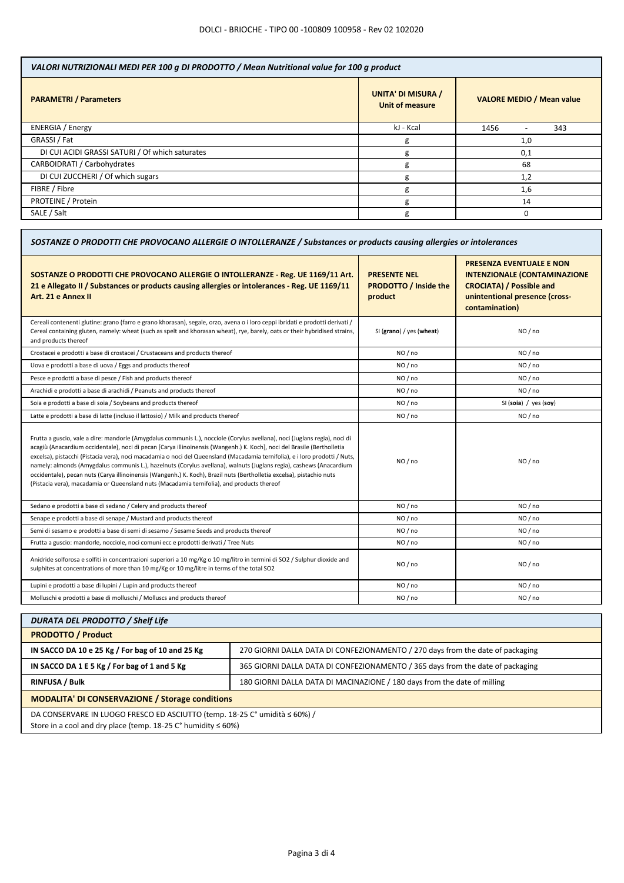| VALORI NUTRIZIONALI MEDI PER 100 g DI PRODOTTO / Mean Nutritional value for 100 g product |                                  |  |  |
|-------------------------------------------------------------------------------------------|----------------------------------|--|--|
| <b>UNITA' DI MISURA /</b><br>Unit of measure                                              | <b>VALORE MEDIO / Mean value</b> |  |  |
| kJ - Kcal                                                                                 | 1456<br>343                      |  |  |
| g                                                                                         | 1,0                              |  |  |
| g                                                                                         | 0,1                              |  |  |
| g                                                                                         | 68                               |  |  |
| g                                                                                         | 1,2                              |  |  |
| g                                                                                         | 1,6                              |  |  |
| g                                                                                         | 14                               |  |  |
| g                                                                                         |                                  |  |  |
|                                                                                           |                                  |  |  |

| SOSTANZE O PRODOTTI CHE PROVOCANO ALLERGIE O INTOLLERANZE / Substances or products causing allergies or intolerances                                                                                                                                                                                                                                                                                                                                                                                                                                                                                                                                                                                                               |                                                                |                                                                                                                                                               |  |
|------------------------------------------------------------------------------------------------------------------------------------------------------------------------------------------------------------------------------------------------------------------------------------------------------------------------------------------------------------------------------------------------------------------------------------------------------------------------------------------------------------------------------------------------------------------------------------------------------------------------------------------------------------------------------------------------------------------------------------|----------------------------------------------------------------|---------------------------------------------------------------------------------------------------------------------------------------------------------------|--|
| SOSTANZE O PRODOTTI CHE PROVOCANO ALLERGIE O INTOLLERANZE - Reg. UE 1169/11 Art.<br>21 e Allegato II / Substances or products causing allergies or intolerances - Reg. UE 1169/11<br>Art. 21 e Annex II                                                                                                                                                                                                                                                                                                                                                                                                                                                                                                                            | <b>PRESENTE NEL</b><br><b>PRODOTTO / Inside the</b><br>product | <b>PRESENZA EVENTUALE E NON</b><br><b>INTENZIONALE (CONTAMINAZIONE</b><br><b>CROCIATA) / Possible and</b><br>unintentional presence (cross-<br>contamination) |  |
| Cereali contenenti glutine: grano (farro e grano khorasan), segale, orzo, avena o i loro ceppi ibridati e prodotti derivati /<br>Cereal containing gluten, namely: wheat (such as spelt and khorasan wheat), rye, barely, oats or their hybridised strains,<br>and products thereof                                                                                                                                                                                                                                                                                                                                                                                                                                                | SI (grano) / yes (wheat)                                       | NO / no                                                                                                                                                       |  |
| Crostacei e prodotti a base di crostacei / Crustaceans and products thereof                                                                                                                                                                                                                                                                                                                                                                                                                                                                                                                                                                                                                                                        | NO / no                                                        | NO / no                                                                                                                                                       |  |
| Uova e prodotti a base di uova / Eggs and products thereof                                                                                                                                                                                                                                                                                                                                                                                                                                                                                                                                                                                                                                                                         | NO / no                                                        | NO/no                                                                                                                                                         |  |
| Pesce e prodotti a base di pesce / Fish and products thereof                                                                                                                                                                                                                                                                                                                                                                                                                                                                                                                                                                                                                                                                       | NO / no                                                        | NO / no                                                                                                                                                       |  |
| Arachidi e prodotti a base di arachidi / Peanuts and products thereof                                                                                                                                                                                                                                                                                                                                                                                                                                                                                                                                                                                                                                                              | NO/no                                                          | NO/no                                                                                                                                                         |  |
| Soia e prodotti a base di soia / Soybeans and products thereof                                                                                                                                                                                                                                                                                                                                                                                                                                                                                                                                                                                                                                                                     | NO / no                                                        | SI (soia) / yes (soy)                                                                                                                                         |  |
| Latte e prodotti a base di latte (incluso il lattosio) / Milk and products thereof                                                                                                                                                                                                                                                                                                                                                                                                                                                                                                                                                                                                                                                 | NO/no                                                          | NO/no                                                                                                                                                         |  |
| Frutta a guscio, vale a dire: mandorle (Amygdalus communis L.), nocciole (Corylus avellana), noci (Juglans regia), noci di<br>acagiù (Anacardium occidentale), noci di pecan [Carya illinoinensis (Wangenh.) K. Koch], noci del Brasile (Bertholletia<br>excelsa), pistacchi (Pistacia vera), noci macadamia o noci del Queensland (Macadamia ternifolia), e i loro prodotti / Nuts,<br>namely: almonds (Amygdalus communis L.), hazelnuts (Corylus avellana), walnuts (Juglans regia), cashews (Anacardium<br>occidentale), pecan nuts (Carya illinoinensis (Wangenh.) K. Koch), Brazil nuts (Bertholletia excelsa), pistachio nuts<br>(Pistacia vera), macadamia or Queensland nuts (Macadamia ternifolia), and products thereof | NO / no                                                        | NO/no                                                                                                                                                         |  |
| Sedano e prodotti a base di sedano / Celery and products thereof                                                                                                                                                                                                                                                                                                                                                                                                                                                                                                                                                                                                                                                                   | NO / no                                                        | NO / no                                                                                                                                                       |  |
| Senape e prodotti a base di senape / Mustard and products thereof                                                                                                                                                                                                                                                                                                                                                                                                                                                                                                                                                                                                                                                                  | NO / no                                                        | NO / no                                                                                                                                                       |  |
| Semi di sesamo e prodotti a base di semi di sesamo / Sesame Seeds and products thereof                                                                                                                                                                                                                                                                                                                                                                                                                                                                                                                                                                                                                                             | NO / no                                                        | NO / no                                                                                                                                                       |  |
| Frutta a guscio: mandorle, nocciole, noci comuni ecc e prodotti derivati / Tree Nuts                                                                                                                                                                                                                                                                                                                                                                                                                                                                                                                                                                                                                                               | NO / no                                                        | NO / no                                                                                                                                                       |  |
| Anidride solforosa e solfiti in concentrazioni superiori a 10 mg/Kg o 10 mg/litro in termini di SO2 / Sulphur dioxide and<br>sulphites at concentrations of more than 10 mg/Kg or 10 mg/litre in terms of the total SO2                                                                                                                                                                                                                                                                                                                                                                                                                                                                                                            | NO / no                                                        | NO / no                                                                                                                                                       |  |
| Lupini e prodotti a base di lupini / Lupin and products thereof                                                                                                                                                                                                                                                                                                                                                                                                                                                                                                                                                                                                                                                                    | NO / no                                                        | NO / no                                                                                                                                                       |  |
| Molluschi e prodotti a base di molluschi / Molluscs and products thereof                                                                                                                                                                                                                                                                                                                                                                                                                                                                                                                                                                                                                                                           | NO / no                                                        | NO / no                                                                                                                                                       |  |

| 270 GIORNI DALLA DATA DI CONFEZIONAMENTO / 270 days from the date of packaging                                                                      |  |  |
|-----------------------------------------------------------------------------------------------------------------------------------------------------|--|--|
| 365 GIORNI DALLA DATA DI CONFEZIONAMENTO / 365 days from the date of packaging                                                                      |  |  |
| 180 GIORNI DALLA DATA DI MACINAZIONE / 180 days from the date of milling                                                                            |  |  |
| <b>MODALITA' DI CONSERVAZIONE / Storage conditions</b>                                                                                              |  |  |
| DA CONSERVARE IN LUOGO FRESCO ED ASCIUTTO (temp. 18-25 C° umidità ≤ 60%) /<br>Store in a cool and dry place (temp $18-25$ C° humidity $\leq 60\%$ ) |  |  |
|                                                                                                                                                     |  |  |

dry place (temp. 18-25 C° humidity  $\leq 60\%$ )